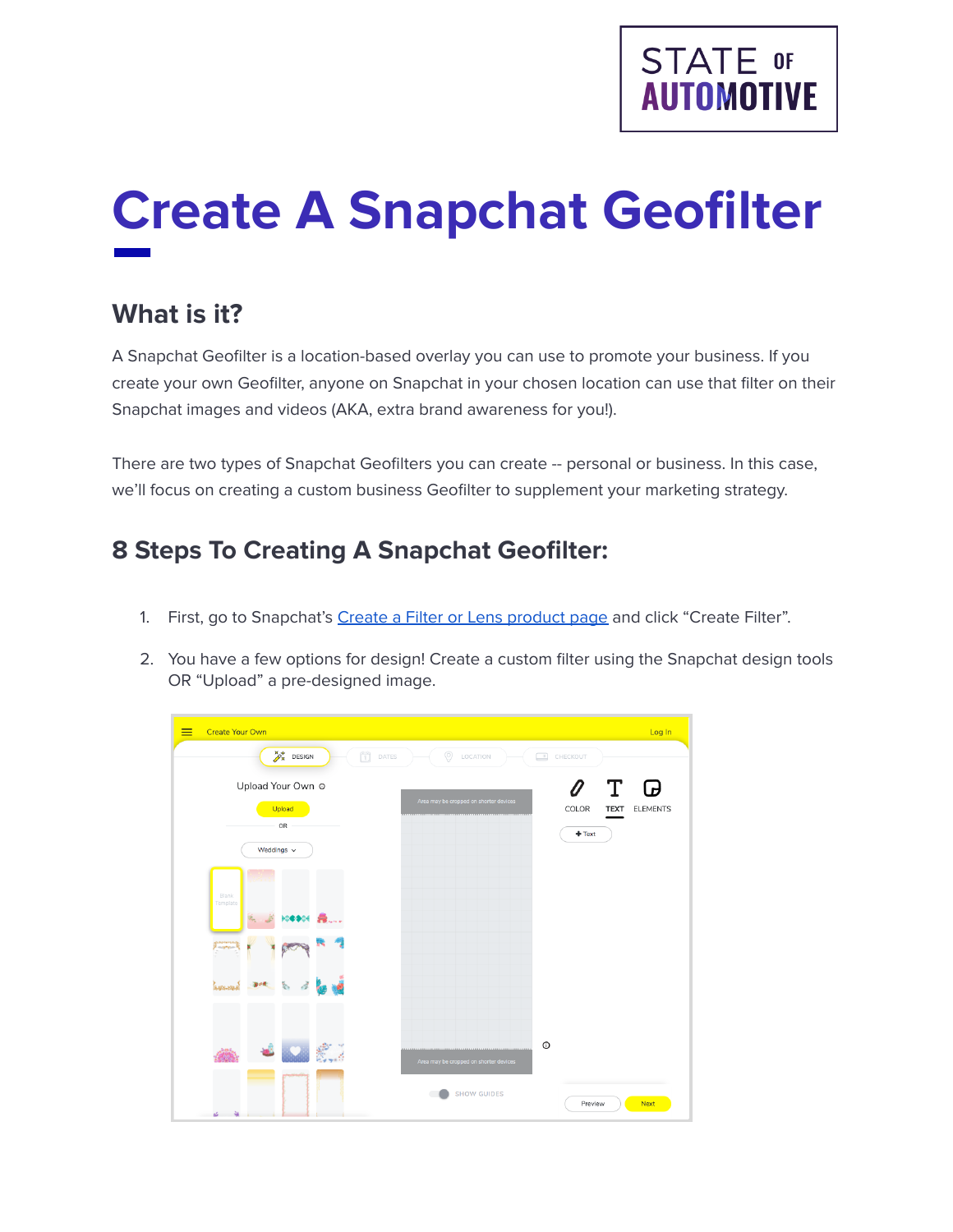

# **Create A Snapchat Geofilter**

# **What is it?**

A Snapchat Geofilter is a location-based overlay you can use to promote your business. If you create your own Geofilter, anyone on Snapchat in your chosen location can use that filter on their Snapchat images and videos (AKA, extra brand awareness for you!).

There are two types of Snapchat Geofilters you can create -- personal or business. In this case, we'll focus on creating a custom business Geofilter to supplement your marketing strategy.

### **8 Steps To Creating A Snapchat Geofilter:**

- 1. First, go to Snapchat's Create a Filter or Lens [product](https://create.snapchat.com/org/guest/purchase/choose-product) page and click "Create Filter".
- 2. You have a few options for design! Create a custom filter using the Snapchat design tools OR "Upload" a pre-designed image.

| <b>Create Your Own</b>                                                              |                                                         | Log In          |
|-------------------------------------------------------------------------------------|---------------------------------------------------------|-----------------|
| $\mathcal{P}_{\mathbf{x}}^*$ DESIGN<br>$\begin{bmatrix} 1 \\ 1 \end{bmatrix}$ DATES | $\odot$<br>LOCATION<br>$\sim$<br>CHECKOUT               |                 |
| Upload Your Own @                                                                   | Т<br>$\boldsymbol{\theta}$                              | Ø               |
| Upload<br>OR                                                                        | Area may be cropped on shorter devices<br>COLOR<br>TEXT | <b>ELEMENTS</b> |
| Weddings $\sim$                                                                     | $+$ Text                                                |                 |
| Blank<br>Template<br>magnesis.<br>ķ.                                                |                                                         |                 |
| £.                                                                                  | $\circ$<br>Area may be cropped on shorter devices       |                 |
| _<br>$\mathbf{a}$                                                                   | <b>SHOW GUIDES</b><br>Preview                           | Next            |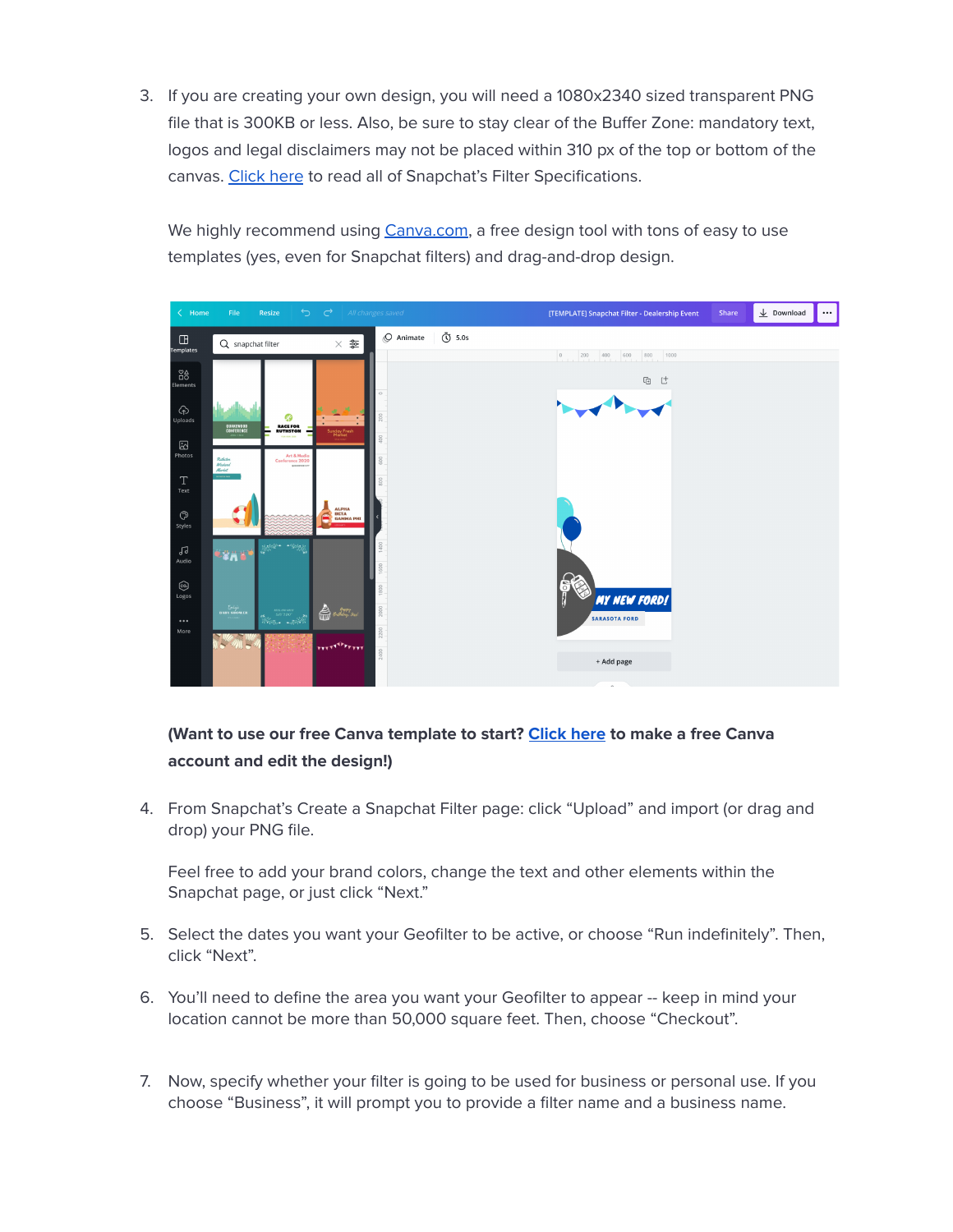3. If you are creating your own design, you will need a 1080x2340 sized transparent PNG file that is 300KB or less. Also, be sure to stay clear of the Buffer Zone: mandatory text, logos and legal disclaimers may not be placed within 310 px of the top or bottom of the canvas. [Click](https://businesshelp.snapchat.com/s/article/geofilter-specs?language=en_US) here to read all of Snapchat's Filter Specifications.

We highly recommend using [Canva.com,](http://canva.com) a free design tool with tons of easy to use templates (yes, even for Snapchat filters) and drag-and-drop design.



#### **(Want to use our free Canva template to start? [Click](https://www.canva.com/design/DAExIeEg59E/KGGh1xH9Qcf31b0ifHolvw/view?utm_content=DAExIeEg59E&utm_campaign=designshare&utm_medium=link&utm_source=sharebutton&mode=preview) here to make a free Canva account and edit the design!)**

4. From Snapchat's Create a Snapchat Filter page: click "Upload" and import (or drag and drop) your PNG file.

Feel free to add your brand colors, change the text and other elements within the Snapchat page, or just click "Next."

- 5. Select the dates you want your Geofilter to be active, or choose "Run indefinitely". Then, click "Next".
- 6. You'll need to define the area you want your Geofilter to appear -- keep in mind your location cannot be more than 50,000 square feet. Then, choose "Checkout".
- 7. Now, specify whether your filter is going to be used for business or personal use. If you choose "Business", it will prompt you to provide a filter name and a business name.